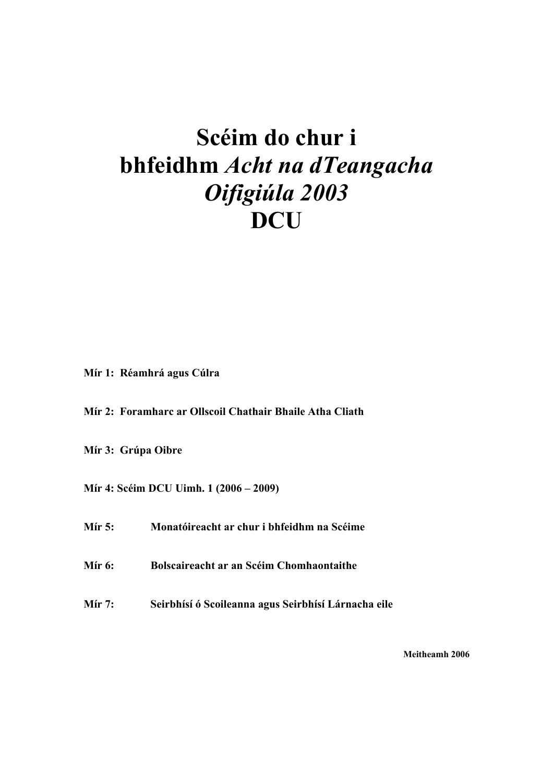# **Scéim do chur i bhfeidhm** *Acht na dTeangacha Oifigiúla 2003* **DCU**

**Mír 1: Réamhrá agus Cúlra** 

**Mír 2: Foramharc ar Ollscoil Chathair Bhaile Atha Cliath** 

**Mír 3: Grúpa Oibre** 

**Mír 4: Scéim DCU Uimh. 1 (2006 – 2009)** 

**Mír 5: Monatóireacht ar chur i bhfeidhm na Scéime** 

**Mír 6: Bolscaireacht ar an Scéim Chomhaontaithe** 

**Mír 7: Seirbhísí ó Scoileanna agus Seirbhísí Lárnacha eile** 

**Meitheamh 2006**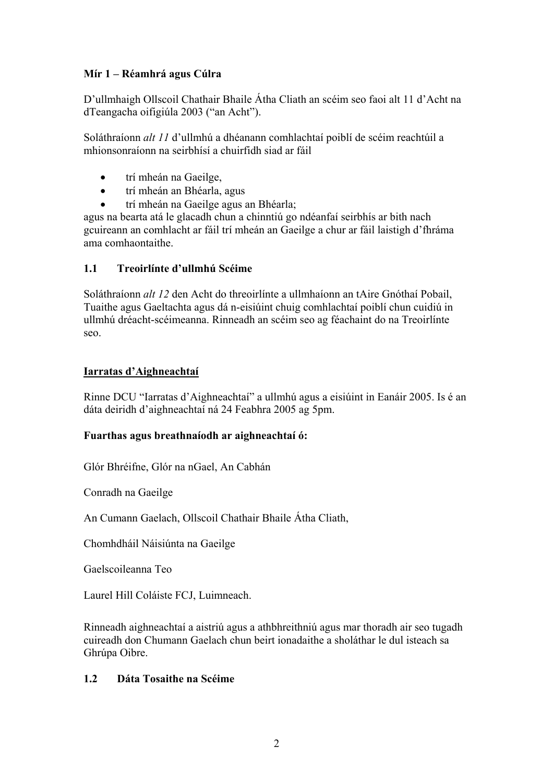#### **Mír 1 – Réamhrá agus Cúlra**

D'ullmhaigh Ollscoil Chathair Bhaile Átha Cliath an scéim seo faoi alt 11 d'Acht na dTeangacha oifigiúla 2003 ("an Acht").

Soláthraíonn *alt 11* d'ullmhú a dhéanann comhlachtaí poiblí de scéim reachtúil a mhionsonraíonn na seirbhísí a chuirfidh siad ar fáil

- trí mheán na Gaeilge,
- trí mheán an Bhéarla, agus
- trí mheán na Gaeilge agus an Bhéarla;

agus na bearta atá le glacadh chun a chinntiú go ndéanfaí seirbhís ar bith nach gcuireann an comhlacht ar fáil trí mheán an Gaeilge a chur ar fáil laistigh d'fhráma ama comhaontaithe.

#### **1.1 Treoirlínte d'ullmhú Scéime**

Soláthraíonn *alt 12* den Acht do threoirlínte a ullmhaíonn an tAire Gnóthaí Pobail, Tuaithe agus Gaeltachta agus dá n-eisiúint chuig comhlachtaí poiblí chun cuidiú in ullmhú dréacht-scéimeanna. Rinneadh an scéim seo ag féachaint do na Treoirlínte seo.

#### **Iarratas d'Aighneachtaí**

Rinne DCU "Iarratas d'Aighneachtaí" a ullmhú agus a eisiúint in Eanáir 2005. Is é an dáta deiridh d'aighneachtaí ná 24 Feabhra 2005 ag 5pm.

#### **Fuarthas agus breathnaíodh ar aighneachtaí ó:**

Glór Bhréifne, Glór na nGael, An Cabhán

Conradh na Gaeilge

An Cumann Gaelach, Ollscoil Chathair Bhaile Átha Cliath,

Chomhdháil Náisiúnta na Gaeilge

Gaelscoileanna Teo

Laurel Hill Coláiste FCJ, Luimneach.

Rinneadh aighneachtaí a aistriú agus a athbhreithniú agus mar thoradh air seo tugadh cuireadh don Chumann Gaelach chun beirt ionadaithe a sholáthar le dul isteach sa Ghrúpa Oibre.

#### **1.2 Dáta Tosaithe na Scéime**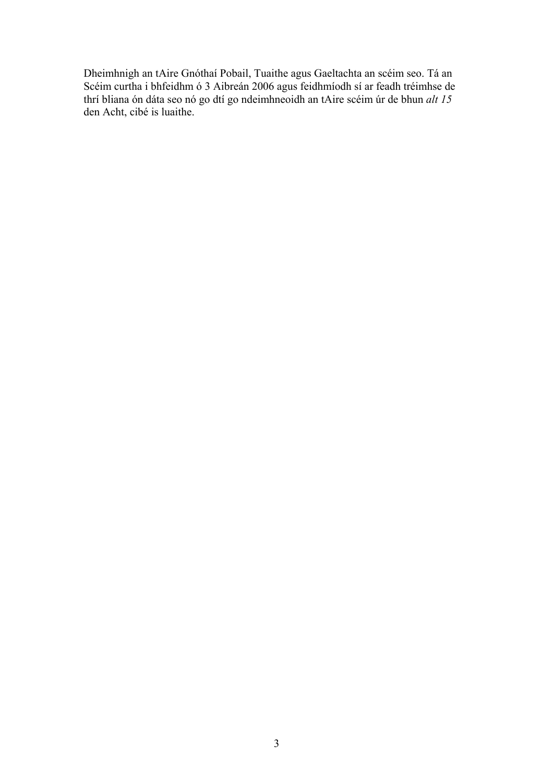Dheimhnigh an tAire Gnóthaí Pobail, Tuaithe agus Gaeltachta an scéim seo. Tá an Scéim curtha i bhfeidhm ó 3 Aibreán 2006 agus feidhmíodh sí ar feadh tréimhse de thrí bliana ón dáta seo nó go dtí go ndeimhneoidh an tAire scéim úr de bhun *alt 15*  den Acht, cibé is luaithe.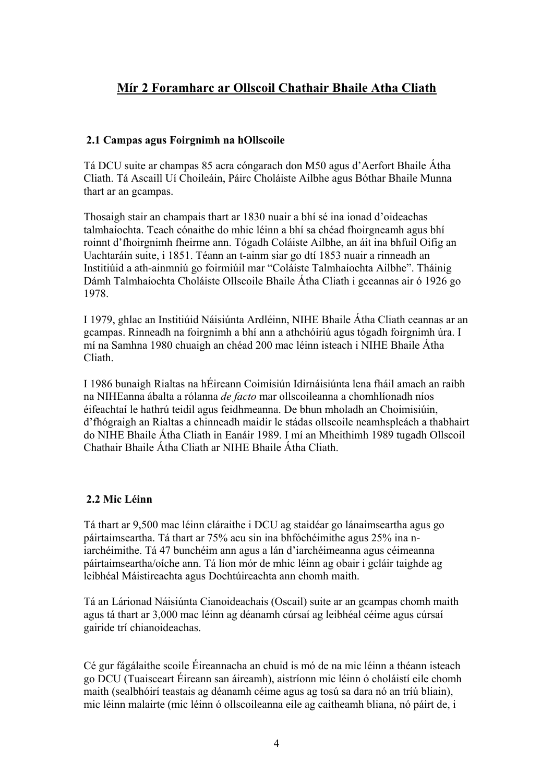## **Mír 2 Foramharc ar Ollscoil Chathair Bhaile Atha Cliath**

#### **2.1 Campas agus Foirgnimh na hOllscoile**

Tá DCU suite ar champas 85 acra cóngarach don M50 agus d'Aerfort Bhaile Átha Cliath. Tá Ascaill Uí Choileáin, Páirc Choláiste Ailbhe agus Bóthar Bhaile Munna thart ar an gcampas.

Thosaigh stair an champais thart ar 1830 nuair a bhí sé ina ionad d'oideachas talmhaíochta. Teach cónaithe do mhic léinn a bhí sa chéad fhoirgneamh agus bhí roinnt d'fhoirgnimh fheirme ann. Tógadh Coláiste Ailbhe, an áit ina bhfuil Oifig an Uachtaráin suite, i 1851. Téann an t-ainm siar go dtí 1853 nuair a rinneadh an Institiúid a ath-ainmniú go foirmiúil mar "Coláiste Talmhaíochta Ailbhe". Tháinig Dámh Talmhaíochta Choláiste Ollscoile Bhaile Átha Cliath i gceannas air ó 1926 go 1978.

I 1979, ghlac an Institiúid Náisiúnta Ardléinn, NIHE Bhaile Átha Cliath ceannas ar an gcampas. Rinneadh na foirgnimh a bhí ann a athchóiriú agus tógadh foirgnimh úra. I mí na Samhna 1980 chuaigh an chéad 200 mac léinn isteach i NIHE Bhaile Átha Cliath.

I 1986 bunaigh Rialtas na hÉireann Coimisiún Idirnáisiúnta lena fháil amach an raibh na NIHEanna ábalta a rólanna *de facto* mar ollscoileanna a chomhlíonadh níos éifeachtaí le hathrú teidil agus feidhmeanna. De bhun mholadh an Choimisiúin, d'fhógraigh an Rialtas a chinneadh maidir le stádas ollscoile neamhspleách a thabhairt do NIHE Bhaile Átha Cliath in Eanáir 1989. I mí an Mheithimh 1989 tugadh Ollscoil Chathair Bhaile Átha Cliath ar NIHE Bhaile Átha Cliath.

#### **2.2 Mic Léinn**

Tá thart ar 9,500 mac léinn cláraithe i DCU ag staidéar go lánaimseartha agus go páirtaimseartha. Tá thart ar 75% acu sin ina bhfóchéimithe agus 25% ina niarchéimithe. Tá 47 bunchéim ann agus a lán d'iarchéimeanna agus céimeanna páirtaimseartha/oíche ann. Tá líon mór de mhic léinn ag obair i gcláir taighde ag leibhéal Máistireachta agus Dochtúireachta ann chomh maith.

Tá an Lárionad Náisiúnta Cianoideachais (Oscail) suite ar an gcampas chomh maith agus tá thart ar 3,000 mac léinn ag déanamh cúrsaí ag leibhéal céime agus cúrsaí gairide trí chianoideachas.

Cé gur fágálaithe scoile Éireannacha an chuid is mó de na mic léinn a théann isteach go DCU (Tuaisceart Éireann san áireamh), aistríonn mic léinn ó choláistí eile chomh maith (sealbhóirí teastais ag déanamh céime agus ag tosú sa dara nó an tríú bliain), mic léinn malairte (mic léinn ó ollscoileanna eile ag caitheamh bliana, nó páirt de, i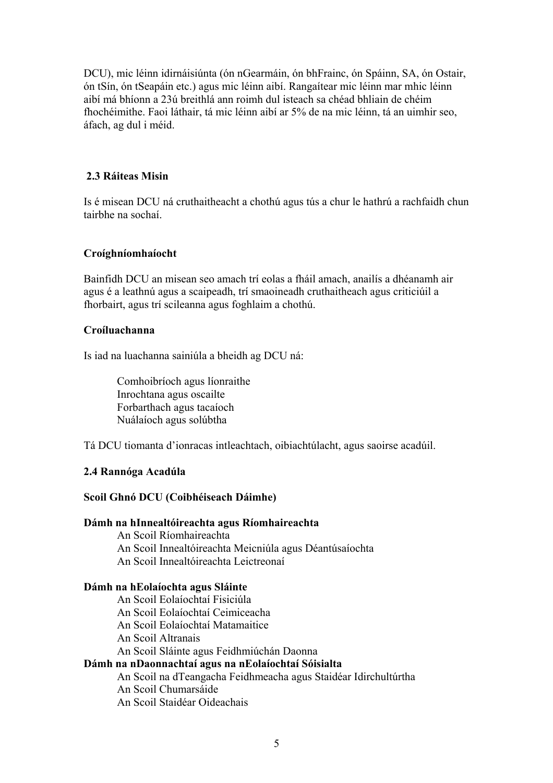DCU), mic léinn idirnáisiúnta (ón nGearmáin, ón bhFrainc, ón Spáinn, SA, ón Ostair, ón tSín, ón tSeapáin etc.) agus mic léinn aibí. Rangaítear mic léinn mar mhic léinn aibí má bhíonn a 23ú breithlá ann roimh dul isteach sa chéad bhliain de chéim fhochéimithe. Faoi láthair, tá mic léinn aibí ar 5% de na mic léinn, tá an uimhir seo, áfach, ag dul i méid.

#### **2.3 Ráiteas Misin**

Is é misean DCU ná cruthaitheacht a chothú agus tús a chur le hathrú a rachfaidh chun tairbhe na sochaí.

#### **Croíghníomhaíocht**

Bainfidh DCU an misean seo amach trí eolas a fháil amach, anailís a dhéanamh air agus é a leathnú agus a scaipeadh, trí smaoineadh cruthaitheach agus criticiúil a fhorbairt, agus trí scileanna agus foghlaim a chothú.

#### **Croíluachanna**

Is iad na luachanna sainiúla a bheidh ag DCU ná:

Comhoibríoch agus líonraithe Inrochtana agus oscailte Forbarthach agus tacaíoch Nuálaíoch agus solúbtha

Tá DCU tiomanta d'ionracas intleachtach, oibiachtúlacht, agus saoirse acadúil.

#### **2.4 Rannóga Acadúla**

#### **Scoil Ghnó DCU (Coibhéiseach Dáimhe)**

#### **Dámh na hInnealtóireachta agus Ríomhaireachta**

An Scoil Ríomhaireachta An Scoil Innealtóireachta Meicniúla agus Déantúsaíochta An Scoil Innealtóireachta Leictreonaí

#### **Dámh na hEolaíochta agus Sláinte**

An Scoil Eolaíochtaí Fisiciúla An Scoil Eolaíochtaí Ceimiceacha An Scoil Eolaíochtaí Matamaitice An Scoil Altranais An Scoil Sláinte agus Feidhmiúchán Daonna **Dámh na nDaonnachtaí agus na nEolaíochtaí Sóisialta**  An Scoil na dTeangacha Feidhmeacha agus Staidéar Idirchultúrtha An Scoil Chumarsáide An Scoil Staidéar Oideachais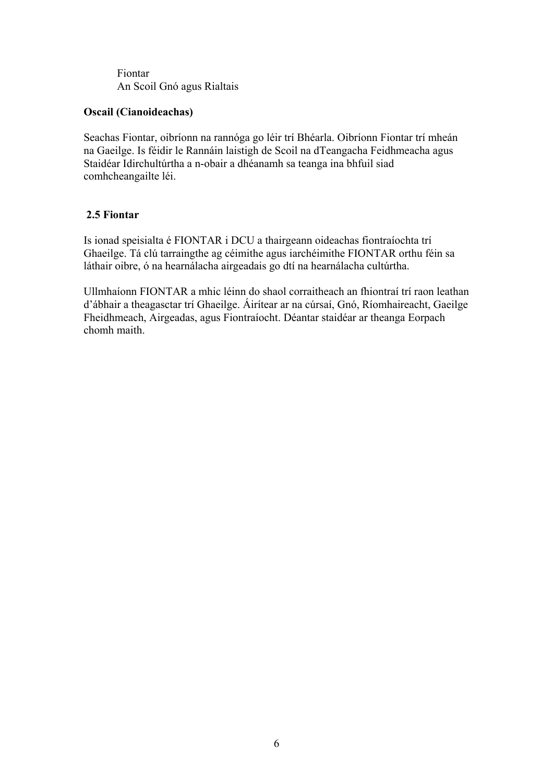Fiontar An Scoil Gnó agus Rialtais

#### **Oscail (Cianoideachas)**

Seachas Fiontar, oibríonn na rannóga go léir trí Bhéarla. Oibríonn Fiontar trí mheán na Gaeilge. Is féidir le Rannáin laistigh de Scoil na dTeangacha Feidhmeacha agus Staidéar Idirchultúrtha a n-obair a dhéanamh sa teanga ina bhfuil siad comhcheangailte léi.

#### **2.5 Fiontar**

Is ionad speisialta é FIONTAR i DCU a thairgeann oideachas fiontraíochta trí Ghaeilge. Tá clú tarraingthe ag céimithe agus iarchéimithe FIONTAR orthu féin sa láthair oibre, ó na hearnálacha airgeadais go dtí na hearnálacha cultúrtha.

Ullmhaíonn FIONTAR a mhic léinn do shaol corraitheach an fhiontraí trí raon leathan d'ábhair a theagasctar trí Ghaeilge. Áirítear ar na cúrsaí, Gnó, Ríomhaireacht, Gaeilge Fheidhmeach, Airgeadas, agus Fiontraíocht. Déantar staidéar ar theanga Eorpach chomh maith.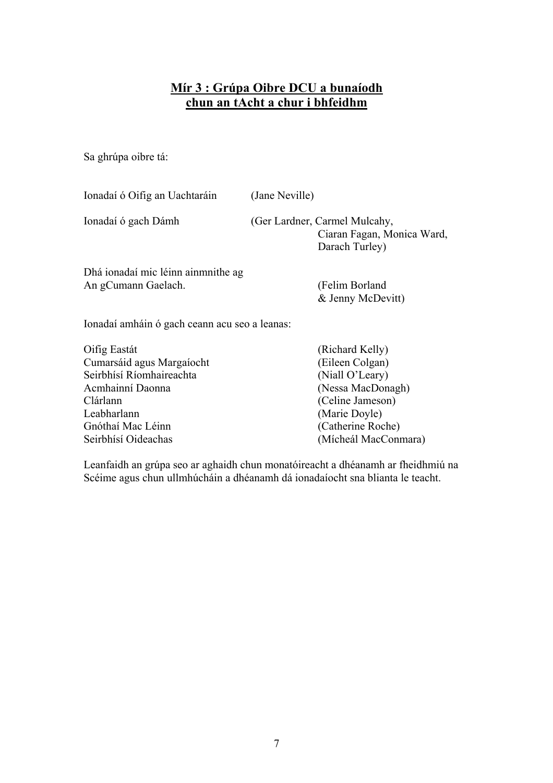## **Mír 3 : Grúpa Oibre DCU a bunaíodh chun an tAcht a chur i bhfeidhm**

Sa ghrúpa oibre tá:

| Ionadaí ó Oifig an Uachtaráin                                                             | (Jane Neville)                                                                |  |  |  |
|-------------------------------------------------------------------------------------------|-------------------------------------------------------------------------------|--|--|--|
| Ionadaí ó gach Dámh                                                                       | (Ger Lardner, Carmel Mulcahy,<br>Ciaran Fagan, Monica Ward,<br>Darach Turley) |  |  |  |
| Dhá ionadaí mic léinn ainmnithe ag<br>An gCumann Gaelach.                                 | (Felim Borland<br>& Jenny McDevitt)                                           |  |  |  |
| Ionadaí amháin ó gach ceann acu seo a leanas:                                             |                                                                               |  |  |  |
| Oifig Eastát<br>Cumarsáid agus Margaíocht<br>Seirbhísí Ríomhaireachta<br>Acmhainní Daonna | (Richard Kelly)<br>(Eileen Colgan)<br>(Niall O'Leary)<br>(Nessa MacDonagh)    |  |  |  |

Clárlann (Celine Jameson)<br>Leabharlann (Marie Dovle) (Marie Doyle) Gnóthaí Mac Léinn (Catherine Roche) Seirbhísí Oideachas (Mícheál MacConmara)

Leanfaidh an grúpa seo ar aghaidh chun monatóireacht a dhéanamh ar fheidhmiú na Scéime agus chun ullmhúcháin a dhéanamh dá ionadaíocht sna blianta le teacht.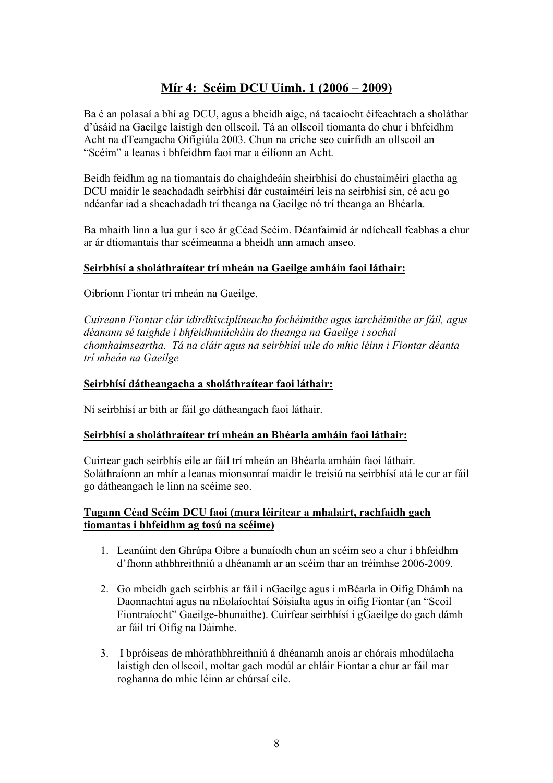## **Mír 4: Scéim DCU Uimh. 1 (2006 – 2009)**

Ba é an polasaí a bhí ag DCU, agus a bheidh aige, ná tacaíocht éifeachtach a sholáthar d'úsáid na Gaeilge laistigh den ollscoil. Tá an ollscoil tiomanta do chur i bhfeidhm Acht na dTeangacha Oifigiúla 2003. Chun na críche seo cuirfidh an ollscoil an "Scéim" a leanas i bhfeidhm faoi mar a éilíonn an Acht.

Beidh feidhm ag na tiomantais do chaighdeáin sheirbhísí do chustaiméirí glactha ag DCU maidir le seachadadh seirbhísí dár custaiméirí leis na seirbhísí sin, cé acu go ndéanfar iad a sheachadadh trí theanga na Gaeilge nó trí theanga an Bhéarla.

Ba mhaith linn a lua gur í seo ár gCéad Scéim. Déanfaimid ár ndícheall feabhas a chur ar ár dtiomantais thar scéimeanna a bheidh ann amach anseo.

#### **Seirbhísí a sholáthraítear trí mheán na Gaeilge amháin faoi láthair:**

Oibríonn Fiontar trí mheán na Gaeilge.

*Cuireann Fiontar clár idirdhisciplíneacha fochéimithe agus iarchéimithe ar fáil, agus déanann sé taighde i bhfeidhmiúcháin do theanga na Gaeilge i sochaí chomhaimseartha. Tá na cláir agus na seirbhísí uile do mhic léinn i Fiontar déanta trí mheán na Gaeilge* 

#### **Seirbhísí dátheangacha a sholáthraítear faoi láthair:**

Ní seirbhísí ar bith ar fáil go dátheangach faoi láthair.

#### **Seirbhísí a sholáthraítear trí mheán an Bhéarla amháin faoi láthair:**

Cuirtear gach seirbhís eile ar fáil trí mheán an Bhéarla amháin faoi láthair. Soláthraíonn an mhír a leanas mionsonraí maidir le treisiú na seirbhísí atá le cur ar fáil go dátheangach le linn na scéime seo.

#### **Tugann Céad Scéim DCU faoi (mura léirítear a mhalairt, rachfaidh gach tiomantas i bhfeidhm ag tosú na scéime)**

- 1. Leanúint den Ghrúpa Oibre a bunaíodh chun an scéim seo a chur i bhfeidhm d'fhonn athbhreithniú a dhéanamh ar an scéim thar an tréimhse 2006-2009.
- 2. Go mbeidh gach seirbhís ar fáil i nGaeilge agus i mBéarla in Oifig Dhámh na Daonnachtaí agus na nEolaíochtaí Sóisialta agus in oifig Fiontar (an "Scoil Fiontraíocht" Gaeilge-bhunaithe). Cuirfear seirbhísí i gGaeilge do gach dámh ar fáil trí Oifig na Dáimhe.
- 3. I bpróiseas de mhórathbhreithniú á dhéanamh anois ar chórais mhodúlacha laistigh den ollscoil, moltar gach modúl ar chláir Fiontar a chur ar fáil mar roghanna do mhic léinn ar chúrsaí eile.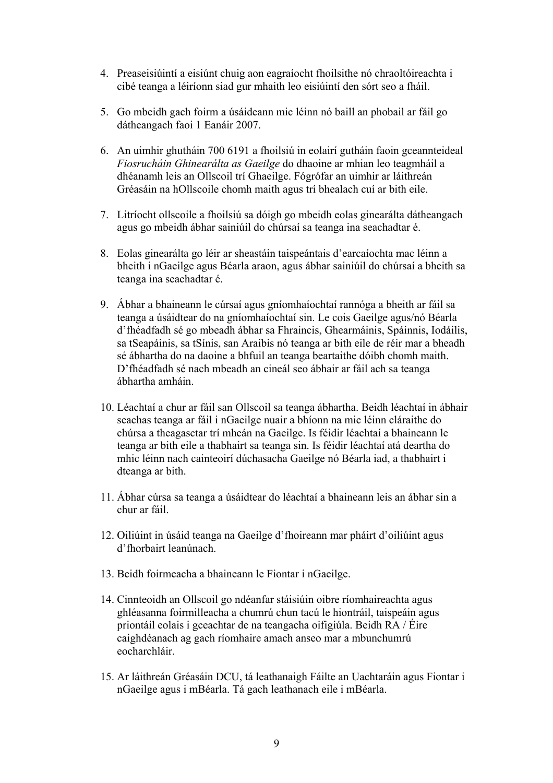- 4. Preaseisiúintí a eisiúnt chuig aon eagraíocht fhoilsithe nó chraoltóireachta i cibé teanga a léiríonn siad gur mhaith leo eisiúintí den sórt seo a fháil.
- 5. Go mbeidh gach foirm a úsáideann mic léinn nó baill an phobail ar fáil go dátheangach faoi 1 Eanáir 2007.
- 6. An uimhir ghutháin 700 6191 a fhoilsiú in eolairí gutháin faoin gceannteideal *Fiosrucháin Ghinearálta as Gaeilge* do dhaoine ar mhian leo teagmháil a dhéanamh leis an Ollscoil trí Ghaeilge. Fógrófar an uimhir ar láithreán Gréasáin na hOllscoile chomh maith agus trí bhealach cuí ar bith eile.
- 7. Litríocht ollscoile a fhoilsiú sa dóigh go mbeidh eolas ginearálta dátheangach agus go mbeidh ábhar sainiúil do chúrsaí sa teanga ina seachadtar é.
- 8. Eolas ginearálta go léir ar sheastáin taispeántais d'earcaíochta mac léinn a bheith i nGaeilge agus Béarla araon, agus ábhar sainiúil do chúrsaí a bheith sa teanga ina seachadtar é.
- 9. Ábhar a bhaineann le cúrsaí agus gníomhaíochtaí rannóga a bheith ar fáil sa teanga a úsáidtear do na gníomhaíochtaí sin. Le cois Gaeilge agus/nó Béarla d'fhéadfadh sé go mbeadh ábhar sa Fhraincis, Ghearmáinis, Spáinnis, Iodáilis, sa tSeapáinis, sa tSínis, san Araibis nó teanga ar bith eile de réir mar a bheadh sé ábhartha do na daoine a bhfuil an teanga beartaithe dóibh chomh maith. D'fhéadfadh sé nach mbeadh an cineál seo ábhair ar fáil ach sa teanga ábhartha amháin.
- 10. Léachtaí a chur ar fáil san Ollscoil sa teanga ábhartha. Beidh léachtaí in ábhair seachas teanga ar fáil i nGaeilge nuair a bhíonn na mic léinn cláraithe do chúrsa a theagasctar trí mheán na Gaeilge. Is féidir léachtaí a bhaineann le teanga ar bith eile a thabhairt sa teanga sin. Is féidir léachtaí atá deartha do mhic léinn nach cainteoirí dúchasacha Gaeilge nó Béarla iad, a thabhairt i dteanga ar bith.
- 11. Ábhar cúrsa sa teanga a úsáidtear do léachtaí a bhaineann leis an ábhar sin a chur ar fáil.
- 12. Oiliúint in úsáid teanga na Gaeilge d'fhoireann mar pháirt d'oiliúint agus d'fhorbairt leanúnach.
- 13. Beidh foirmeacha a bhaineann le Fiontar i nGaeilge.
- 14. Cinnteoidh an Ollscoil go ndéanfar stáisiúin oibre ríomhaireachta agus ghléasanna foirmilleacha a chumrú chun tacú le hiontráil, taispeáin agus priontáil eolais i gceachtar de na teangacha oifigiúla. Beidh RA / Éire caighdéanach ag gach ríomhaire amach anseo mar a mbunchumrú eocharchláir.
- 15. Ar láithreán Gréasáin DCU, tá leathanaigh Fáilte an Uachtaráin agus Fiontar i nGaeilge agus i mBéarla. Tá gach leathanach eile i mBéarla.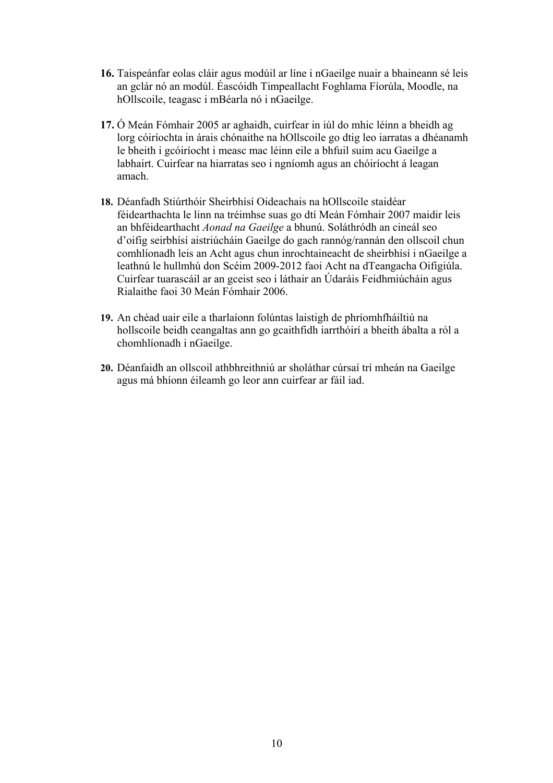- **16.** Taispeánfar eolas cláir agus modúil ar líne i nGaeilge nuair a bhaineann sé leis an gclár nó an modúl. Éascóidh Timpeallacht Foghlama Fíorúla, Moodle, na hOllscoile, teagasc i mBéarla nó i nGaeilge.
- **17.** Ó Meán Fómhair 2005 ar aghaidh, cuirfear in iúl do mhic léinn a bheidh ag lorg cóiríochta in árais chónaithe na hOllscoile go dtig leo iarratas a dhéanamh le bheith i gcóiríocht i measc mac léinn eile a bhfuil suim acu Gaeilge a labhairt. Cuirfear na hiarratas seo i ngníomh agus an chóiríocht á leagan amach.
- **18.** Déanfadh Stiúrthóir Sheirbhísí Oideachais na hOllscoile staidéar féidearthachta le linn na tréimhse suas go dtí Meán Fómhair 2007 maidir leis an bhféidearthacht *Aonad na Gaeilge* a bhunú. Soláthródh an cineál seo d'oifig seirbhísí aistriúcháin Gaeilge do gach rannóg/rannán den ollscoil chun comhlíonadh leis an Acht agus chun inrochtaineacht de sheirbhísí i nGaeilge a leathnú le hullmhú don Scéim 2009-2012 faoi Acht na dTeangacha Oifigiúla. Cuirfear tuarascáil ar an gceist seo i láthair an Údaráis Feidhmiúcháin agus Rialaithe faoi 30 Meán Fómhair 2006.
- **19.** An chéad uair eile a tharlaíonn folúntas laistigh de phríomhfháiltiú na hollscoile beidh ceangaltas ann go gcaithfidh iarrthóirí a bheith ábalta a ról a chomhlíonadh i nGaeilge.
- **20.** Déanfaidh an ollscoil athbhreithniú ar sholáthar cúrsaí trí mheán na Gaeilge agus má bhíonn éileamh go leor ann cuirfear ar fáil iad.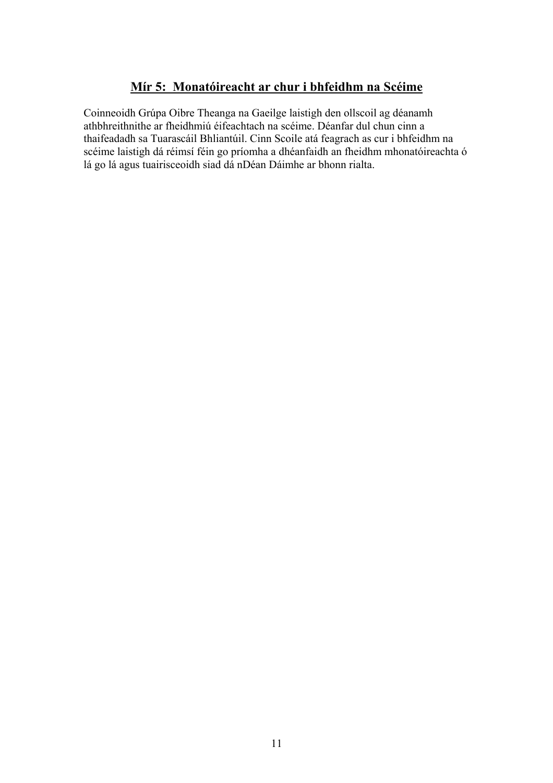## **Mír 5: Monatóireacht ar chur i bhfeidhm na Scéime**

Coinneoidh Grúpa Oibre Theanga na Gaeilge laistigh den ollscoil ag déanamh athbhreithnithe ar fheidhmiú éifeachtach na scéime. Déanfar dul chun cinn a thaifeadadh sa Tuarascáil Bhliantúil. Cinn Scoile atá feagrach as cur i bhfeidhm na scéime laistigh dá réimsí féin go príomha a dhéanfaidh an fheidhm mhonatóireachta ó lá go lá agus tuairisceoidh siad dá nDéan Dáimhe ar bhonn rialta.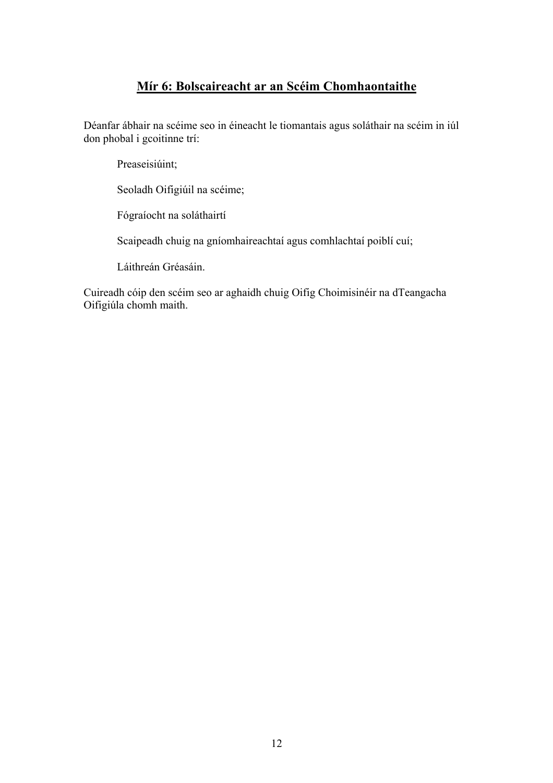### **Mír 6: Bolscaireacht ar an Scéim Chomhaontaithe**

Déanfar ábhair na scéime seo in éineacht le tiomantais agus soláthair na scéim in iúl don phobal i gcoitinne trí:

Preaseisiúint;

Seoladh Oifigiúil na scéime;

Fógraíocht na soláthairtí

Scaipeadh chuig na gníomhaireachtaí agus comhlachtaí poiblí cuí;

Láithreán Gréasáin.

Cuireadh cóip den scéim seo ar aghaidh chuig Oifig Choimisinéir na dTeangacha Oifigiúla chomh maith.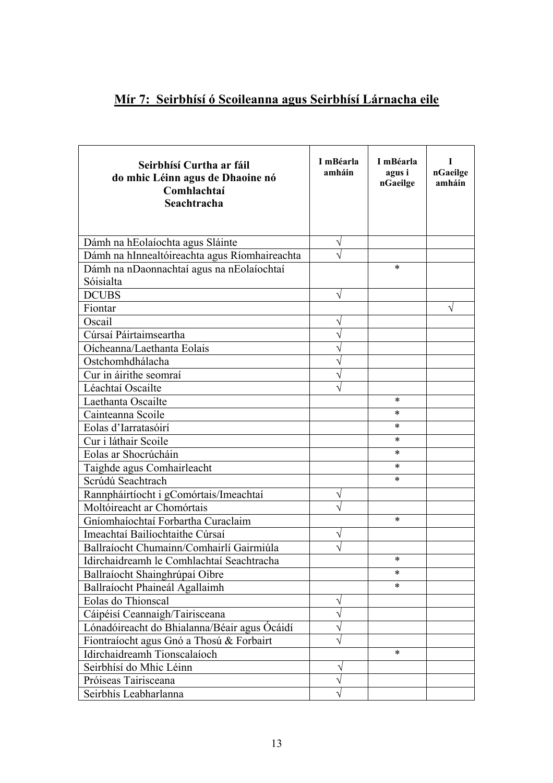## **Mír 7: Seirbhísí ó Scoileanna agus Seirbhísí Lárnacha eile**

| Seirbhísí Curtha ar fáil<br>do mhic Léinn agus de Dhaoine nó<br>Comhlachtaí<br>Seachtracha | I mBéarla<br>amháin | I mBéarla<br>agus i<br>nGaeilge | T<br>nGaeilge<br>amháin |
|--------------------------------------------------------------------------------------------|---------------------|---------------------------------|-------------------------|
| Dámh na hEolaíochta agus Sláinte                                                           | V                   |                                 |                         |
| Dámh na hInnealtóireachta agus Ríomhaireachta                                              |                     |                                 |                         |
| Dámh na nDaonnachtaí agus na nEolaíochtaí                                                  |                     | *                               |                         |
| Sóisialta                                                                                  |                     |                                 |                         |
| <b>DCUBS</b>                                                                               | V                   |                                 |                         |
| Fiontar                                                                                    |                     |                                 |                         |
| Oscail                                                                                     |                     |                                 |                         |
| Cúrsaí Páirtaimseartha                                                                     |                     |                                 |                         |
| Oícheanna/Laethanta Eolais                                                                 |                     |                                 |                         |
| Ostchomhdhálacha                                                                           |                     |                                 |                         |
| Cur in áirithe seomraí                                                                     |                     |                                 |                         |
| Léachtaí Oscailte                                                                          |                     |                                 |                         |
| Laethanta Oscailte                                                                         |                     | *                               |                         |
| Cainteanna Scoile                                                                          |                     | *                               |                         |
| Eolas d'Iarratasóirí                                                                       |                     | *                               |                         |
| Cur i láthair Scoile                                                                       |                     | *                               |                         |
| Eolas ar Shocrúcháin                                                                       |                     | *                               |                         |
| Taighde agus Comhairleacht                                                                 |                     | *                               |                         |
| Scrúdú Seachtrach                                                                          |                     | *                               |                         |
| Rannpháirtíocht i gComórtais/Imeachtaí                                                     |                     |                                 |                         |
| Moltóireacht ar Chomórtais                                                                 |                     |                                 |                         |
| Gníomhaíochtaí Forbartha Curaclaim                                                         |                     | *                               |                         |
| Imeachtaí Bailíochtaithe Cúrsaí                                                            |                     |                                 |                         |
| Ballraíocht Chumainn/Comhairlí Gairmiúla                                                   |                     |                                 |                         |
| Idirchaidreamh le Comhlachtaí Seachtracha                                                  |                     | *                               |                         |
| Ballraíocht Shainghrúpaí Oibre                                                             |                     | *                               |                         |
| Ballraíocht Phaineál Agallaimh                                                             |                     | *                               |                         |
| Eolas do Thionscal                                                                         |                     |                                 |                         |
| Cáipéisí Ceannaigh/Tairisceana                                                             |                     |                                 |                         |
| Lónadóireacht do Bhialanna/Béair agus Ócáidí                                               |                     |                                 |                         |
| Fiontraíocht agus Gnó a Thosú & Forbairt                                                   |                     |                                 |                         |
| Idirchaidreamh Tionscalaíoch                                                               |                     | *                               |                         |
| Seirbhísí do Mhic Léinn                                                                    |                     |                                 |                         |
| Próiseas Tairisceana                                                                       |                     |                                 |                         |
| Seirbhís Leabharlanna                                                                      |                     |                                 |                         |